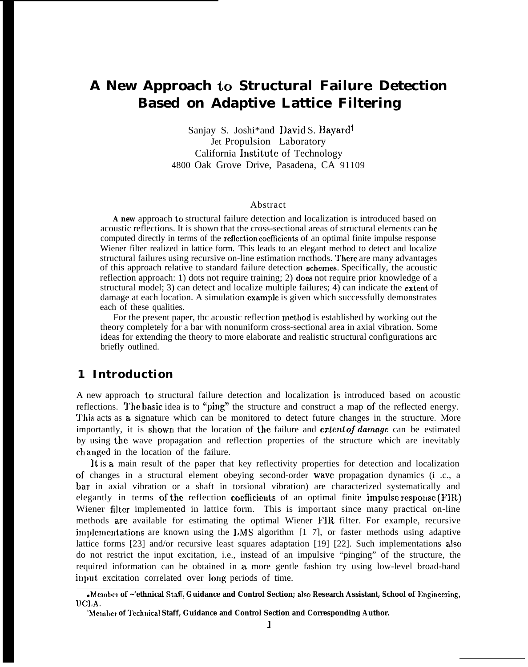# **A New Approach to Structural Failure Detection Based on Adaptive Lattice Filtering**

Sanjay S. Joshi\*and David S. Bayard<sup>t</sup> Jet Propulsion Laboratory California lnstitutc of Technology 4800 Oak Grove Drive, Pasadena, CA 91109

#### Abstract

**A new** approach to structural failure detection and localization is introduced based on acoustic reflections. It is shown that the cross-sectional areas of structural elements can be computed directly in terms of the reflection coefficients of an optimal finite impulse response Wiener filter realized in lattice form. This leads to an elegant method to detect and localize structural failures using recursive on-line estimation rncthods. '1'here are many advantages of this approach relative to standard failure detection schemes. Specifically, the acoustic reflection approach: 1) dots not require training; 2) doex not require prior knowledge of a structural model; 3) can detect and localize multiple failures; 4) can indicate the extent of damage at each location. A simulation example is given which successfully demonstrates each of these qualities.

For the present paper, the acoustic reflection method is established by working out the theory completely for a bar with nonuniform cross-sectional area in axial vibration. Some ideas for extending the theory to more elaborate and realistic structural configurations arc briefly outlined.

# **1 Introduction**

A new approach to structural failure detection and localization is introduced based on acoustic reflections. The basic idea is to "ping" the structure and construct a map of the reflected energy. This acts as a signature which can be monitored to detect future changes in the structure. More importantly, it is shown that the location of the failure and *extent of damage* can be estimated by using the wave propagation and reflection properties of the structure which are inevitably changed in the location of the failure.

It is a main result of the paper that key reflectivity properties for detection and localization of changes in a structural element obeying second-order wave propagation dynamics (i .c., a bar in axial vibration or a shaft in torsional vibration) are characterized systematically and elegantly in terms of the reflection coefficients of an optimal finite impulse response  $(FIR)$ Wiener filter implemented in lattice form. This is important since many practical on-line methods are available for estimating the optimal Wiener FIR filter. For example, recursive implementations are known using the  $1.MS$  algorithm  $\lceil 1 \rceil$ , or faster methods using adaptive lattice forms [23] and/or recursive least squares adaptation [19] [22]. Such implementations also do not restrict the input excitation, i.e., instead of an impulsive "pinging" of the structure, the required information can be obtained in a. more gentle fashion try using low-level broad-band input excitation correlated over long periods of time.

<sup>●</sup> **Mcmlbcr of ~'ethnical Stafl, Guidance and Control Section; also Research Assistant, School of Enginecrirrg, UC1,A.**

**<sup>t</sup>Mclnbcr of "1'cchnical Staff, Guidance and Control Section and Corresponding Author.**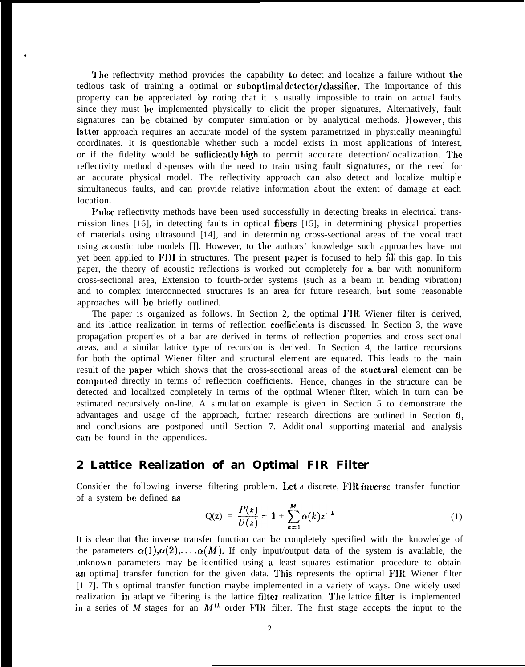The reflectivity method provides the capability to detect and localize a failure without the tedious task of training a optimal or suboptimal detector/classifier. The importance of this property can he appreciated by noting that it is usually impossible to train on actual faults since they must be implemented physically to elicit the proper signatures, Alternatively, fault signatures can be obtained by computer simulation or by analytical methods. However, this latter approach requires an accurate model of the system parametrized in physically meaningful coordinates. It is questionable whether such a model exists in most applications of interest, or if the fidelity would be sufficiently high to permit accurate detection/localization. The reflectivity method dispenses with the need to train using fault signatures, or the need for an accurate physical model. The reflectivity approach can also detect and localize multiple simultaneous faults, and can provide relative information about the extent of damage at each location.

●

l'ulse reflectivity methods have been used successfully in detecting breaks in electrical transmission lines [16], in detecting faults in optical fibers [15], in determining physical properties of materials using ultrasound [14], and in determining cross-sectional areas of the vocal tract using acoustic tube models []]. However, to the authors' knowledge such approaches have not yet been applied to FDI in structures. The present paper is focused to help fill this gap. In this paper, the theory of acoustic reflections is worked out completely for a bar with nonuniform cross-sectional area, Extension to fourth-order systems (such as a beam in bending vibration) and to complex interconnected structures is an area for future research, but some reasonable approaches will bc briefly outlined.

The paper is organized as follows. In Section 2, the optimal FIR Wiener filter is derived, and its lattice realization in terms of reflection cocfhcients is discussed. In Section 3, the wave propagation properties of a bar are derived in terms of reflection properties and cross sectional areas, and a similar lattice type of recursion is derived. In Section 4, the lattice recursions for both the optimal Wiener filter and structural element are equated. This leads to the main result of the paper which shows that the cross-sectional areas of the stuctural element can be computed directly in terms of reflection coefficients. Hence, changes in the structure can be detected and localized completely in terms of the optimal Wiener filter, which in turn can be estimated recursively on-line. A simulation example is given in Section 5 to demonstrate the advantages and usage of the approach, further research directions are outlined in Section 6, and conclusions are postponed until Section 7. Additional supporting material and analysis can be found in the appendices.

### **2 Lattice Realization of an Optimal FIR Filter**

Consider the following inverse filtering problem. Let a discrete, FIR *inverse* transfer function of a system be defined as

$$
Q(z) = \frac{P(z)}{U(z)} = 1 + \sum_{k=1}^{M} \alpha(k) z^{-k}
$$
 (1)

It is clear that the inverse transfer function can be completely specified with the knowledge of the parameters  $\alpha(1), \alpha(2), \ldots, \alpha(M)$ . If only input/output data of the system is available, the unknown parameters may be identified using a. least squares estimation procedure to obtain an optima] transfer function for the given data. This represents the optimal FIR Wiener filter [1 7]. This optimal transfer function maybe implemented in a variety of ways. One widely used realization in adaptive filtering is the lattice filter realization. The lattice filter is implemented in a series of *M* stages for an *M*<sup>th</sup> order FIR filter. The first stage accepts the input to the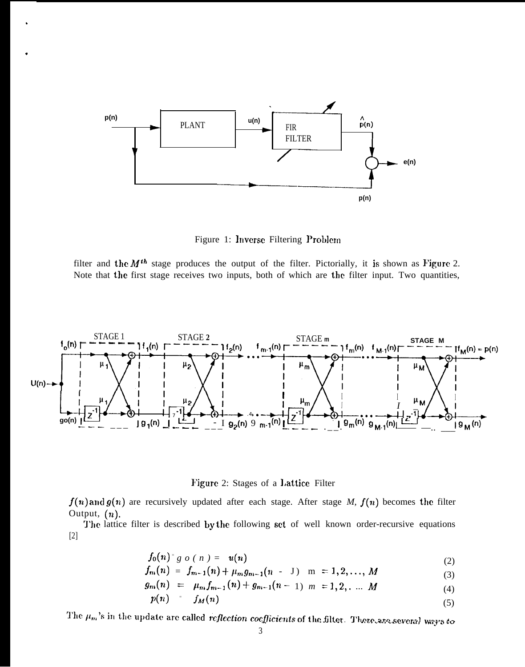

,

,

Figure 1: Inverse Filtering Problem

filter and the  $M^{th}$  stage produces the output of the filter. Pictorially, it is shown as Figure 2. Note that the first stage receives two inputs, both of which are the filter input. Two quantities,



Figure 2: Stages of a Lattice Filter

 $f(n)$  and  $g(n)$  are recursively updated after each stage. After stage *M,*  $f(n)$  becomes the filter Output,  $(n)$ .

The lattice filter is described by the following set of well known order-recursive equations [2]

$$
f_0(n)^{r} g \ o \ (n) = u(n) \tag{2}
$$

$$
f_m(n) = f_{m-1}(n) + \mu_m g_{m-1}(n-1) \quad m = 1, 2, ..., M
$$
 (3)

$$
g_m(n) = \mu_m f_{m-1}(n) + g_{m-1}(n-1) \quad m = 1, 2, \ldots \quad M \tag{4}
$$

$$
p(n) = f_M(n) \tag{5}
$$

The  $\mu_m$ 's in the update are called reflection coefficients of the filter. There are several ways to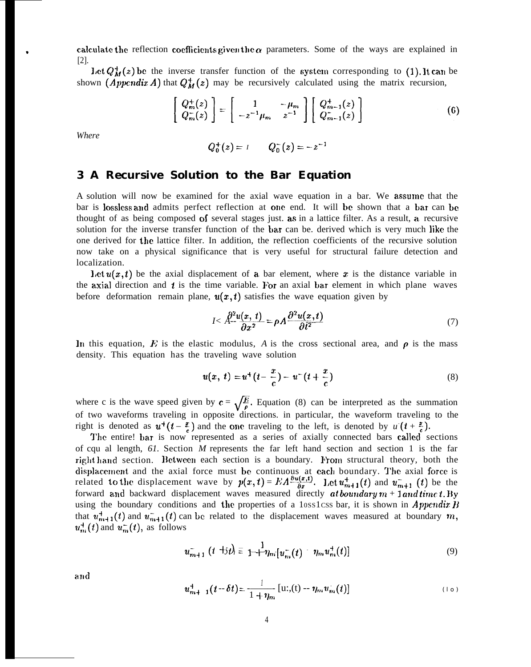calculate the reflection coefficients given the  $\alpha$  parameters. Some of the ways are explained in [2].

Let  $Q_M^+(z)$  be the inverse transfer function of the system corresponding to (1). It can be shown (*Appendix A*) that  $Q_M^+(z)$  may be recursively calculated using the matrix recursion,

$$
\begin{bmatrix}\nQ_m^+(z) \\
Q_m^-(z)\n\end{bmatrix} = \begin{bmatrix}\n1 & -\mu_m \\
-z^{-1}\mu_m & z^{-1}\n\end{bmatrix} \begin{bmatrix}\nQ_{m-1}^+(z) \\
Q_{m-1}^-(z)\n\end{bmatrix}
$$
\n(6)

*Where*

$$
Q_0^+(z) = I \qquad Q_0^-(z) = -z^{-1}
$$

### **3 A Recursive Solution to the Bar Equation**

A solution will now be examined for the axial wave equation in a bar. We assume that the bar is lossless and admits perfect reflection at one end. It will be shown that a bar can be thought of as being composed of several stages just. as in a lattice filter. As a result, a recursive solution for the inverse transfer function of the bar can be. derived which is very much like the one derived for the lattice filter. In addition, the reflection coefficients of the recursive solution now take on a physical significance that is very useful for structural failure detection and localization.

Let  $u(x, t)$  be the axial displacement of a bar element, where x is the distance variable in the axial direction and  $t$  is the time variable. For an axial bar element in which plane waves before deformation remain plane,  $u(x,t)$  satisfies the wave equation given by

$$
I < \mathring{A}^{2}u(x,t) = \rho A \frac{\partial^{2} u(x,t)}{\partial t^{2}} \tag{7}
$$

In this equation,  $E$  is the elastic modulus,  $A$  is the cross sectional area, and  $\rho$  is the mass density. This equation has the traveling wave solution

$$
u(x, t) = u^{+}(t - \frac{x}{c}) - u^{-}(t + \frac{x}{c})
$$
\n(8)

where c is the wave speed given by  $\mathbf{c} = \sqrt{\frac{E}{\rho}}$ . Equation (8) can be interpreted as the summation of two waveforms traveling in opposite directions, in particular, the waveform traveling to the of two waveforms traveling in opposite directions. in particular, the waveform traveling to the right is denoted as  $u^+(t-\frac{z}{\epsilon})$  and the one traveling to the left, is denoted by  $u^-(t+\frac{z}{\epsilon})$ .

The entire! bar is now represented as a series of axially connected bars called sections of cqu al length, *61.* Section *M* represents the far left hand section and section 1 is the far right hand section. Between each section is a boundary. From structural theory, both the displacement and the axial force must be continuous at each boundary. The axial force is related to the displacement wave by  $p(x,t) = EA \frac{\partial u(x,t)}{\partial x}$ . Let  $u_{m+1}^+(t)$  and  $u_{m+1}^-(t)$  be the forward and backward displacement waves measured directly at boundary  $m + 1$  and time *t*. By using the boundary conditions and the properties of a 10ss1css bar, it is shown in *Appendix B* that  $u_{m+1}^+(t)$  and  $u_{m+1}^-(t)$  can be related to the displacement waves measured at boundary m,  $u_m^+(t)$  and  $u_m^-(t)$ , as follows

$$
u_{m+1}^{-} (t + t) \equiv \frac{1}{1 + \eta_m} [u_m^{-} (t) - \eta_m u_m^{+} (t)] \tag{9}
$$

and

$$
u_{m+1}^+(t-\delta t) = \frac{1}{1+\eta_m} \left[ \mathrm{u}^1(0) - \eta_m u_m^+(t) \right] \tag{10}
$$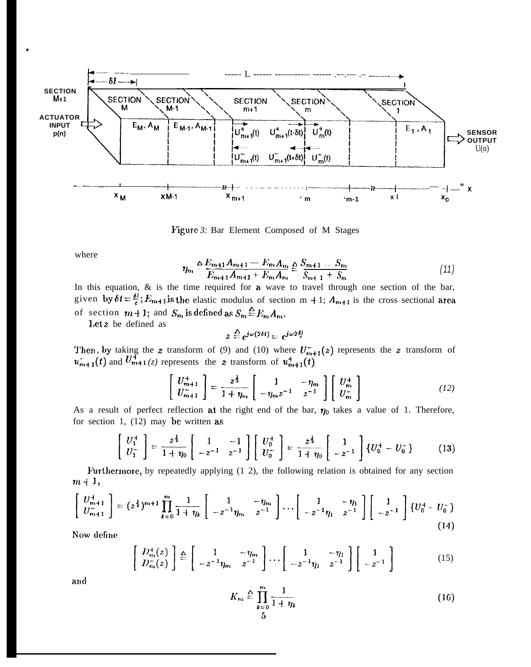

Figure 3: Bar Element Composed of M Stages

where

\*

$$
\eta_m \triangleq \frac{E_{m+1}A_{m+1} - E_m A_m}{E_{m+1}A_{m+1} + E_m A_m} \triangleq \frac{S_{m+1} \dots S_m}{S_{m+1} + S_m} \tag{11}
$$

In this equation,  $\&$  is the time required for  $a$  wave to travel through one section of the bar, given by  $\delta t = \frac{\delta l}{c}$ ;  $E_{m+1}$  is the elastic modulus of section m + 1;  $A_{m+1}$  is the cross sectional area of section  $m+1$ ; and  $S_m$  is defined as  $S_m \stackrel{\Delta}{=} E_m A_m$ .

Let  $z$  be defined as

$$
z \stackrel{\Delta}{=} e^{j\omega(2\delta t)} = e^{j\omega 2\frac{\delta l}{c}}
$$

Then, by taking the z transform of (9) and (10) where  $U_{m+1}^{-}(z)$  represents the z transform of  $u_{m+1}^-(t)$  and  $U_{m+1}^+(z)$  represents the z transform of  $u_{m+1}^+(t)$ 

$$
\begin{bmatrix} U_{m+1}^+ \\ U_{m+1}^- \end{bmatrix} = \frac{z^{\frac{1}{2}}}{1 + \eta_m} \begin{bmatrix} 1 & -\eta_m \\ -\eta_m z^{-1} & z^{-1} \end{bmatrix} \begin{bmatrix} U_m^+ \\ U_m^- \end{bmatrix}
$$
 (12)

As a result of perfect reflection at the right end of the bar,  $\eta_0$  takes a value of 1. Therefore, for section 1,  $(12)$  may be written as

$$
\begin{bmatrix} U_1^+ \\ U_1^- \end{bmatrix} = \frac{z^{\frac{1}{2}}}{1 + \eta_0} \begin{bmatrix} 1 & -1 \\ -z^{-1} & z^{-1} \end{bmatrix} \begin{bmatrix} U_0^+ \\ U_0^- \end{bmatrix} = \frac{z^{\frac{1}{2}}}{1 + \eta_0} \begin{bmatrix} 1 \\ -z^{-1} \end{bmatrix} \{U_0^+ - U_0^-\} \tag{13}
$$

11'urthcrmore, by repeatedly applying (1 2), the following relation is obtained for any section  $m+1$ ,

$$
\begin{bmatrix} U_{m+1}^{+} \\ U_{m+1}^{-} \end{bmatrix} = (z^{\frac{1}{2}})^{m+1} \prod_{k=0}^{m} \frac{1}{1+\eta_k} \begin{bmatrix} 1 & -\eta_m \\ -z^{-1}\eta_m & z^{-1} \end{bmatrix} \cdots \begin{bmatrix} 1 & -\eta_1 \\ -z^{-1}\eta_1 & z^{-1} \end{bmatrix} \begin{bmatrix} 1 \\ -z^{-1} \end{bmatrix} \{U_0^+ - U_0^-\}
$$
\n(14)

Now define

$$
\begin{aligned}\nD_m^+(z) \\
D_m^-(z)\n\end{aligned}\n\Bigg\} \triangleq \begin{bmatrix}\n1 & -\eta_m \\
-z^{-1}\eta_m & z^{-1}\n\end{bmatrix}\n\cdots\n\begin{bmatrix}\n1 & -\eta_1 \\
-z^{-1}\eta_1 & z^{-1}\n\end{bmatrix}\n\begin{bmatrix}\n1 \\
-z^{-1}\n\end{bmatrix} \n\tag{15}
$$

and

$$
K_m \triangleq \prod_{\substack{k=0\\5}}^m \frac{1}{1+\eta_k} \tag{16}
$$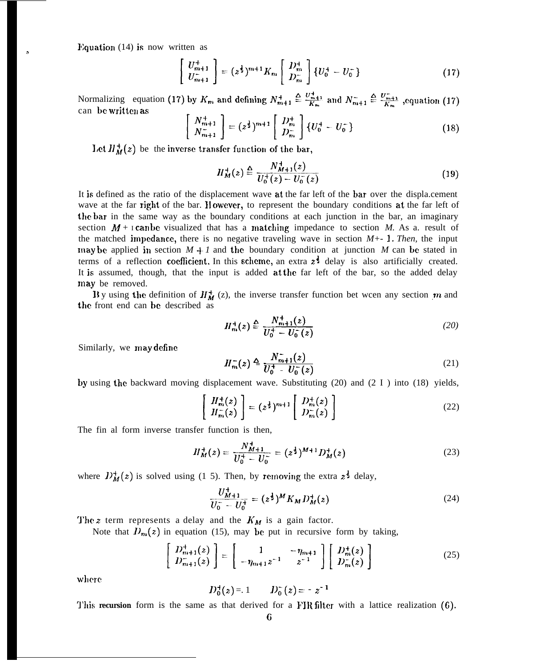Equation  $(14)$  is now written as

$$
\begin{bmatrix} U_{m+1}^{+} \\ U_{m+1}^{-} \end{bmatrix} = (z^{\frac{1}{2}})^{m+1} K_m \begin{bmatrix} D_m^{+} \\ D_m^{-} \end{bmatrix} \{ U_0^{+} - U_0^{-} \}
$$
 (17)

Normalizing equation (17) by  $K_m$  and defining  $N_{m+1}^+ \triangleq \frac{U_{m+1}^+}{K_m}$  and  $N_{m+1}^- \triangleq \frac{U_{m+1}^-}{K_m}$ , equation (17) can bc wrjtten as

$$
\begin{bmatrix} N_{m+1}^{+} \\ N_{m+1}^{-} \end{bmatrix} = (z^{\frac{1}{2}})^{m+1} \begin{bmatrix} D_{m}^{+} \\ D_{m}^{-} \end{bmatrix} \{U_{0}^{+} - U_{0}^{-}\}
$$
 (18)

Let  $H_M^+(z)$  be the inverse transfer function of the bar,

$$
H_M^+(z) \stackrel{\Delta}{=} \frac{N_{M+1}^+(z)}{U_0^+(z) - U_0^-(z)}\tag{19}
$$

It is defined as the ratio of the displacement wave at the far left of the bar over the displa.cement wave at the far right of the bar. However, to represent the boundary conditions at the far left of the bar in the same way as the boundary conditions at each junction in the bar, an imaginary section  $M + I$  can be visualized that has a matching impedance to section M. As a. result of the matched impedance, there is no negative traveling wave in section  $M_{+}$ - 1. Then, the input may be applied in section  $M + 1$  and the boundary condition at junction M can be stated in terms of a reflection coefficient. In this scheme, an extra  $z^{\frac{1}{2}}$  delay is also artificially created. It is assumed, though, that the input is added at the far left of the bar, so the added delay may be removed.

**11** By using the definition of  $H_M^+$  (z), the inverse transfer function bet wcen any section  $m$  and the front end can be described as

$$
H_{m}^{+}(z) \stackrel{\Delta}{=} \frac{N_{m+1}^{+}(z)}{U_{0}^{+} - U_{0}^{-}(z)}
$$
 (20)

Similarly, we may define

$$
H_m^-(z) \triangleq \frac{N_{m+1}^-(z)}{U_0^+ - U_0^-(z)}\tag{21}
$$

by using the backward moving displacement wave. Substituting (20) and (2 I ) into (18) yields,

$$
\begin{bmatrix}\nH_m^+(z) \\
H_m^-(z)\n\end{bmatrix} = (z^{\frac{1}{2}})^{m+1} \begin{bmatrix}\nD_m^+(z) \\
D_m^-(z)\n\end{bmatrix}
$$
\n(22)

The fin al form inverse transfer function is then,

$$
H_M^+(z) = \frac{N_{M+1}^+}{U_0^+ - U_0^-} = (z^{\frac{1}{2}})^{M+1} D_M^+(z)
$$
\n(23)

where  $D_M^+(z)$  is solved using (1 5). Then, by removing the extra  $z^{\frac{1}{2}}$  delay,

$$
\frac{U_{M+1}^+}{U_0^- - U_0^+} = (z^{\frac{1}{2}})^M K_M D_M^+(z)
$$
\n(24)

The *z* term represents a delay and the  $K_M$  is a gain factor.

Note that  $D_m(z)$  in equation (15), may be put in recursive form by taking,

$$
\begin{bmatrix} D_{m+1}^{+}(z) \\ D_{m+1}^{-}(z) \end{bmatrix} = \begin{bmatrix} 1 & -\eta_{m+1} \\ -\eta_{m+1} z^{-1} & z^{-1} \end{bmatrix} \begin{bmatrix} D_{m}^{+}(z) \\ D_{m}^{-}(z) \end{bmatrix}
$$
 (25)

where

$$
D_0^+(z) = 1
$$
  $D_0^-(z) = -z^{-1}$ 

**'l'his recursion** form is the same as that derived for a FIR filter with a lattice realization (6).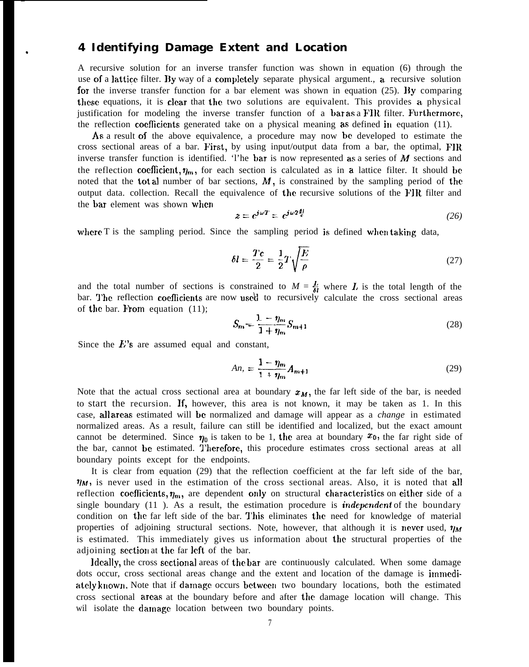# \* **4 Identifying Damage Extent and Location**

A recursive solution for an inverse transfer function was shown in equation (6) through the use of a lattice filter. By way of a completely separate physical argument., a recursive solution for the inverse transfer function for a bar element was shown in equation (25). By comparing these equations, it is clear that the two solutions are equivalent. This provides a physical justification for modeling the inverse transfer function of a bar as a FIR filter. Furthermore, the reflection coeflicicnts generated take on a physical meaning as defined in equation (11).

As a result of the above equivalence, a procedure may now bc developed to estimate the cross sectional areas of a bar. First, by using input/output data from a bar, the optimal,  $\text{FIR}$ inverse transfer function is identified. 'l'he bar is now represented as a series of  $M$  sections and the reflection coefficient,  $\eta_m$ , for each section is calculated as in a lattice filter. It should be noted that the **total** number of bar sections,  $M$ , is constrained by the sampling period of the output data. collection. Recall the equivalence of the recursive solutions of the FIR filter and the bar element was shown when

$$
z = e^{j\omega T} = e^{j\omega 2\frac{\delta l}{c}}
$$
 (26)

where T is the sampling period. Since the sampling period *is* defined when taking data,

$$
\delta l = \frac{Tc}{2} = \frac{1}{2}T\sqrt{\frac{E}{\rho}}
$$
\n(27)

and the total number of sections is constrained to  $M = \frac{L}{\delta l}$  where L is the total length of the bar. The reflection coefficients are now used to recursively calculate the cross sectional areas of the bar. From equation  $(11)$ ;

$$
S_m = \frac{1 - \eta_m}{1 + \eta_m} S_{m+1}
$$
 (28)

Since the  $E$ 's are assumed equal and constant,

$$
An_{n} = \frac{1 - \eta_{m}}{1 + \eta_{m}} A_{m+1}
$$
\n(29)

Note that the actual cross sectional area at boundary  $x_M$ , the far left side of the bar, is needed to start the recursion. If, however, this area is not known, it may be taken as 1. In this case, all areas estimated will bc normalized and damage will appear as a *change* in estimated normalized areas. As a result, failure can still be identified and localized, but the exact amount cannot be determined. Since  $\eta_0$  is taken to be 1, the area at boundary  $x_0$ , the far right side of the bar, cannot be estimated. Therefore, this procedure estimates cross sectional areas at all boundary points except for the endpoints.

It is clear from equation (29) that the reflection coefficient at the far left side of the bar,  $\eta_M$ , is never used in the estimation of the cross sectional areas. Also, it is noted that all reflection coefficients,  $\eta_m$ , are dependent only on structural characteristics on either side of a single boundary (11 ). As a result, the estimation procedure is *iridepcridcnt* of the boundary condition on the far left side of the bar. This eliminates the need for knowledge of material properties of adjoining structural sections. Note, however, that although it is never used,  $\eta_M$ is estimated. This immediately gives us information about the structural properties of the adjoining section at the far left of the bar.

ldcally, the cross scctiona] areas of the bar are continuously calculated. When some damage dots occur, cross sectional areas change and the extent and location of the damage is immediately known. Note that if damage occurs between two boundary locations, both the estimated cross sectional areas at the boundary before and after the damage location will change. This wil isolate the damage location between two boundary points.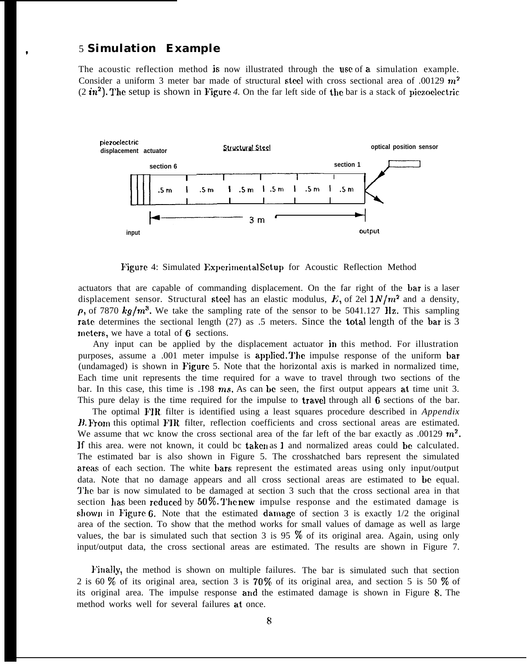# \* 5 **Simulation Example**

The acoustic reflection method js now illustrated through the use of a simulation example. Consider a uniform 3 meter bar made of structural steel with cross sectional area of .00129  $m<sup>2</sup>$  $(2 in^2)$ . The setup is shown in Figure 4. On the far left side of the bar is a stack of piezoelectric.



Figure 4: Simulated Experimental Setup for Acoustic Reflection Method

actuators that are capable of commanding displacement. On the far right of the bar is a laser displacement sensor. Structural steel has an elastic modulus, E, of 2el  $1 N/m^2$  and a density,  $\rho$ , of 7870 kg/m<sup>3</sup>. We take the sampling rate of the sensor to be 5041.127 Hz. This sampling rate determines the sectional length (27) as .5 meters. Since the **total length** of the bar is 3 meters, we have a total of  $6$  sections.

Any input can be applied by the displacement actuator in this method. For illustration purposes, assume a .001 meter impulse is applied. The impulse response of the uniform bar (undamaged) is shown in Figure 5. Note that the horizontal axis is marked in normalized time, Each time unit represents the time required for a wave to travel through two sections of the bar. In this case, this time is .198  $ms$ , As can be seen, the first output appears at time unit 3. This pure delay is the time required for the impulse to **travel** through all  $\bf{6}$  sections of the bar.

The optimal FIR filter is identified using a least squares procedure described in *Appendix 11. H*<sub>om</sub> this optimal FIR filter, reflection coefficients and cross sectional areas are estimated. We assume that wc know the cross sectional area of the far left of the bar exactly as .00129  $m^2$ . If this area. were not known, it could be taken as 1 and normalized areas could be calculated. The estimated bar is also shown in Figure 5. The crosshatched bars represent the simulated areas of each section. The white bars represent the estimated areas using only input/output data. Note that no damage appears and all cross sectional areas are estimated to be equal. The bar is now simulated to be damaged at section 3 such that the cross sectional area in that section has been reduced by  $50\%$ . The new impulse response and the estimated damage is shown in Figure 6. Note that the estimated damage of section 3 is exactly  $1/2$  the original area of the section. To show that the method works for small values of damage as well as large values, the bar is simulated such that section 3 is 95  $\%$  of its original area. Again, using only input/output data, the cross sectional areas are estimated. The results are shown in Figure 7.

}+'ina]ly, the method is shown on multiple failures. The bar is simulated such that section 2 is 60  $\%$  of its original area, section 3 is 70  $\%$  of its original area, and section 5 is 50  $\%$  of its original area. The impulse response and the estimated damage is shown in Figure 8. The method works well for several failures at once.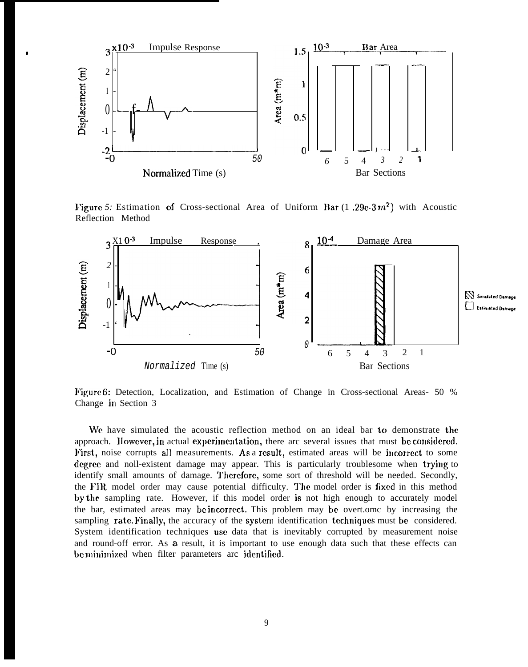

I

Figure 5: Estimation of Cross-sectional Area of Uniform Bar (1.29e-3 $m^2$ ) with Acoustic Reflection Method



F'igure 6: Detection, Localization, and Estimation of Change in Cross-sectional Areas- 50 % Change in Section 3

We have simulated the acoustic reflection method on an ideal bar to demonstrate the approach. However, in actual experimentation, there arc several issues that must be considered. First, noise corrupts all measurements. As a result, estimated areas will be incorrect to some degree and noll-existent damage may appear. This is particularly troublesome when trying to identify small amounts of damage. Therefore, some sort of threshold will be needed. Secondly, the FIR model order may cause potential difficulty. The model order is fixed in this method by the sampling rate. However, if this model order is not high enough to accurately model the bar, estimated areas may be hcorrect. This problem may be overt.omc by increasing the sampling rate. Finally, the accuracy of the system identification techniques must be considered. System identification techniques usc data that is inevitably corrupted by measurement noise and round-off error. As a result, it is important to use enough data such that these effects can be minimized when filter parameters arc identified.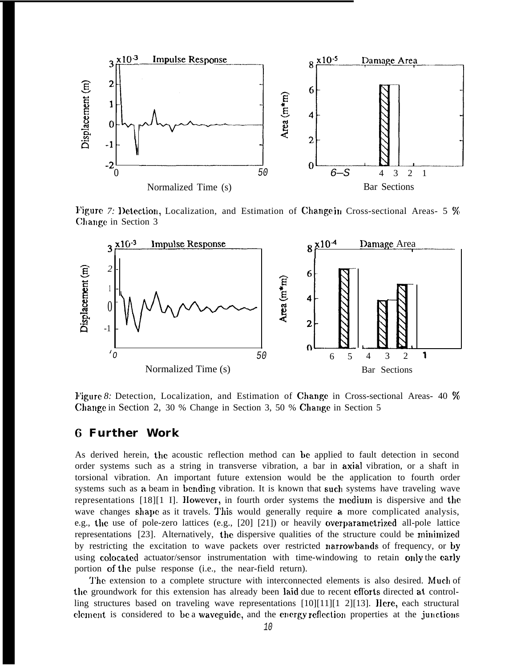

Figure 7: Detection, Localization, and Estimation of Change in Cross-sectional Areas- 5 % Change in Section 3



Figure 8: Detection, Localization, and Estimation of Change in Cross-sectional Areas- 40 % Change in Section 2, 30 % Change in Section 3, 50 % Change in Section 5

# G **Further Work**

As derived herein, the acoustic reflection method can he applied to fault detection in second order systems such as a string in transverse vibration, a bar in axial vibration, or a shaft in torsional vibration. An important future extension would be the application to fourth order systems such as a beam in bending vibration. It is known that such systems have traveling wave representations [18][1 I]. IIowever, in fourth order systems the medium is dispersive and the wave changes shape as it travels. This would generally require a more complicated analysis, e.g., the use of pole-zero lattices (e.g., [20] [21]) or heavily overparametrized all-pole lattice representations [23]. Alternatively, the dispersive qualities of the structure could be minimized by restricting the excitation to wave packets over restricted narrowbands of frequency, or by using colocated actuator/sensor instrumentation with time-windowing to retain only the early portion of the pulse response (i.e., the near-field return).

The extension to a complete structure with interconnected elements is also desired. Much of the groundwork for this extension has already been laid due to recent eflorts directed at controlling structures based on traveling wave representations  $[10][11][1 2][13]$ . Here, each structural clement is considered to be a waveguide, and the energy reflection properties at the junctions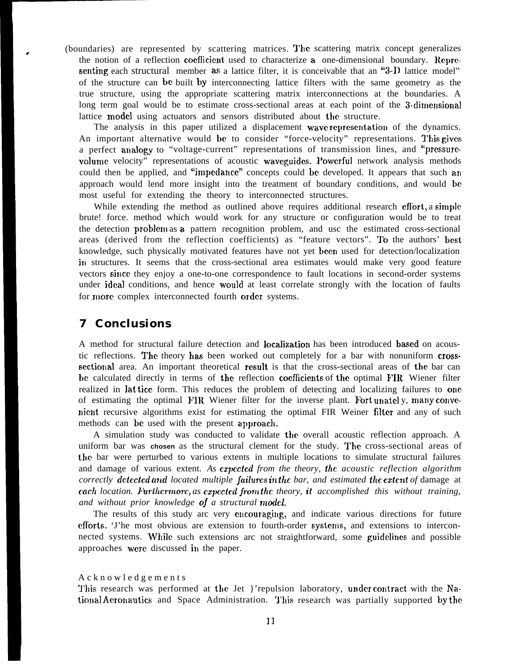(boundaries) are represented by scattering matrices. The scattering matrix concept generalizes the notion of a reflection coefficient used to characterize a one-dimensional boundary. Representing each structural member as a lattice filter, it is conceivable that an "3-D lattice model" of the structure can be built by interconnecting lattice filters with the same geometry as the true structure, using the appropriate scattering matrix interconnections at the boundaries. A long term goal would be to estimate cross-sectional areas at each point of the 3-dimensional lattice model using actuators and sensors distributed about the structure.

The analysis in this paper utilized a displacement wave representation of the dynamics. An important alternative would be to consider "force-velocity" representations. This gives a perfect analogy to "voltage-current" representations of transmission lines, and "pressurevolume velocity" representations of acoustic waveguides. Powerful network analysis methods could then be applied, and "impedance" concepts could be developed. It appears that such an approach would lend more insight into the treatment of boundary conditions, and would bc most useful for extending the theory to interconnected structures.

While extending the method as outlined above requires additional research effort, a simple brute! force. method which would work for any structure or configuration would be to treat the detection problcm as a pattern recognition problem, and usc the estimated cross-sectional areas (derived from the reflection coefficients) as "feature vectors". TO the authors' best knowledge, such physically motivated features have not yet been used for detection/localization in structures. It seems that the cross-sectional area estimates would make very good feature vectors since they enjoy a one-to-one correspondence to fault locations in second-order systems under ideal conditions, and hence would at least correlate strongly with the location of faults for more complex interconnected fourth order systems.

## **7 Conclusions**

A method for structural failure detection and locaJization has been introduced based on acoustic reflections. The theory has been worked out completely for a bar with nonuniform crossscctional area. An important theoretical result is that the cross-sectional areas of the bar can be calculated directly in terms of the reflection coefficients of the optimal FIR Wiener filter realized in lat ticc form. This reduces the problem of detecting and localizing failures to one of estimating the optimal FIR Wiener filter for the inverse plant. Fort unately, many convenient recursive algorithms exist for estimating the optimal FIR Weiner filter and any of such methods can be used with the present approach.

A simulation study was conducted to validate the overall acoustic reflection approach. A uniform bar was **chosen** as the structural clement for the study. The. cross-sectional areas of the bar were perturbed to various extents in multiple locations to simulate structural failures and damage of various extent. As **expected** from the theory, the acoustic reflection algorithm *correctly dctcctcd artd located multiple jailurcs in the bar, and estimated the cxteni of* damage at *each location. I'urthcrmorc, as cxpcctcd jrom the theory, it accomplished this without training, and without prior knowledge oj a structural model.*

The results of this study arc very encouraging, and indicate various directions for future efforts. The most obvious are extension to fourth-order systems, and extensions to interconnected systems. While such extensions arc not straightforward, some guidelines and possible approaches were discussed in the paper.

#### Acknowledgement s

This research was performed at the Jet }'repulsion laboratory, under contract with the National Acronautics and Space Administration. This research was partially supported by the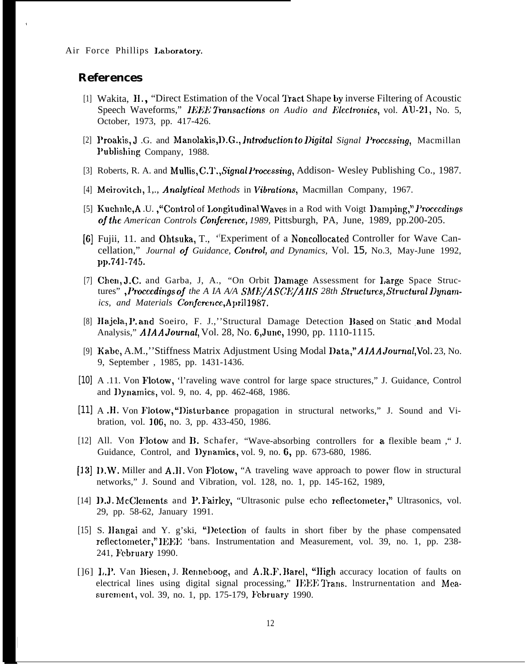### **References**

,

- [1] Wakita, H., "Direct Estimation of the Vocal Tract Shape by inverse Filtering of Acoustic Speech Waveforms," *IEFIE Twmsaclions on Audio and Elcctmmics,* vol. AIJ-21, No. 5, October, 1973, pp. 417-426.
- [2] Proakis, J .G. and Manolakis, D.G., *Introduction to Digital Signal Processing*, Macmillan }'ublishing Company, 1988.
- [3] Roberts, R. A. and Mullis, C.T., Signal Processing, Addison- Wesley Publishing Co., 1987.
- [4] Meirovitch, 1,., *Ana/yiica/ Methods* in *Vibmiions,* Macmillan Company, 1967.
- [5] Kuehnle,A.U., "Control of Longitudinal Waves in a Rod with Voigt Damping," Proceedings *oj the American Controls Conjcmncq 1989,* Pittsburgh, PA, June, 1989, pp.200-205.
- [6] Fujii, 11. and Ohtsuka, T., ' ( Experiment of a Noncollocated Controller for Wave Cancellation," *Journal oj Guidance, C'ontrwl, and Dynamics,* Vol. 15, No.3, May-June 1992, pp.741-745.
- [7] Chen, J.C. and Garba, J, A., "On Orbit Damage Assessment for Large Space Structures", Proceedings of the A IA A/A SME/ASCE/AIIS 28th Structures, Structural Dynam*ics, and Materials* Conjcwnce,April 19&7.
- [8] Hajela, P. and Soeiro, F. J.,"Structural Damage Detection Based on Static and Modal Analysis," *AJAA* Journal, Vol. 28, No. 6,June, 1990, pp. 1110-1115.
- [9] Kabe, A.M.,''Stiffness Matrix Adjustment Using Modal I)ata,''A1AA *Journa/,Vol.* 23, No. 9, September , 1985, pp. 1431-1436.
- [10] A .11. Von Flotow, 'l'raveling wave control for large space structures," J. Guidance, Control and l)ynamics, vol. 9, no. 4, pp. 462-468, 1986.
- [11] A.H. Von Flotow, "Disturbance propagation in structural networks," J. Sound and Vibration, vol. 106, no. 3, pp. 433-450, 1986.
- [12] All. Von Flotow and B. Schafer, "Wave-absorbing controllers for a flexible beam ," J. Guidance, Control, and l)ynamics, vol. 9, no. 6, pp. 673-680, 1986.
- [13] 1).W. Miller and A.11. Von Flotow, "A traveling wave approach to power flow in structural networks," J. Sound and Vibration, vol. 128, no. 1, pp. 145-162, 1989,
- [14] D.J. McClements and P. Fairley, "Ultrasonic pulse echo reflectometer," Ultrasonics, vol. 29, pp. 58-62, January 1991.
- [15] S. Hangai and Y. g'ski, "Detection of faults in short fiber by the phase compensated reflectometer," IEEE 'bans. Instrumentation and Measurement, vol. 39, no. 1, pp. 238-241, February 1990.
- [[6] L.P. Van Biesen, J. Renneboog, and A.R.F. Barel, "High accuracy location of faults on electrical lines using digital signal processing," IEEE Trans. Instrumentation and Measurement, vol. 39, no. 1, pp. 175-179, February 1990.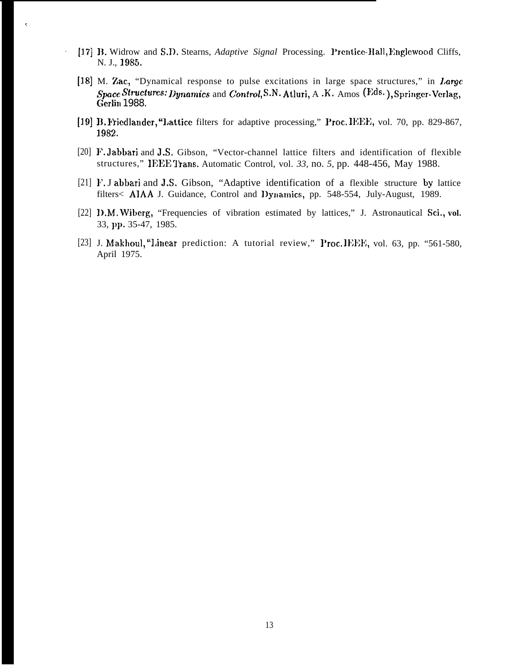[17] B. Widrow and S.D. Stearns, *Adaptive Signal Processing. Prentice-Hall*, Englewood Cliffs, N. J., 1985,

ł,

 $\ddot{\phantom{0}}$ 

- [18] M. Zac, "Dynamical response to pulse excitations in large space structures," in Large  $Space Structures: Dynamics$  and  $Control$ , S.N. Atluri, A .K. Amos (Eds.), Springer-Verlag, Gerlin 1988.
- [19] B. Friedlander, "Lattice filters for adaptive processing," Proc. IEEE, vol. 70, pp. 829-867, 1982.
- [20] F. Jabbari and J.S. Gibson, "Vector-channel lattice filters and identification of flexible structures," IEEE Trans. Automatic Control, vol. 33, no. 5, pp. 448-456, May 1988.
- [21] F. J abbari and J.S. Gibson, "Adaptive identification of a flexible structure by lattice filters< AIAA J. Guidance, Control and IJynamics, pp. 548-554, July-August, 1989.
- [22] 1).M. Wiberg, "Frequencies of vibration estimated by lattices," J. Astronautical **sci., vol.** 33, pp. 35-47, 1985.
- [23] J. Makhoul, "Linear prediction: A tutorial review," Proc. IEEE, vol. 63, pp. "561-580, April 1975.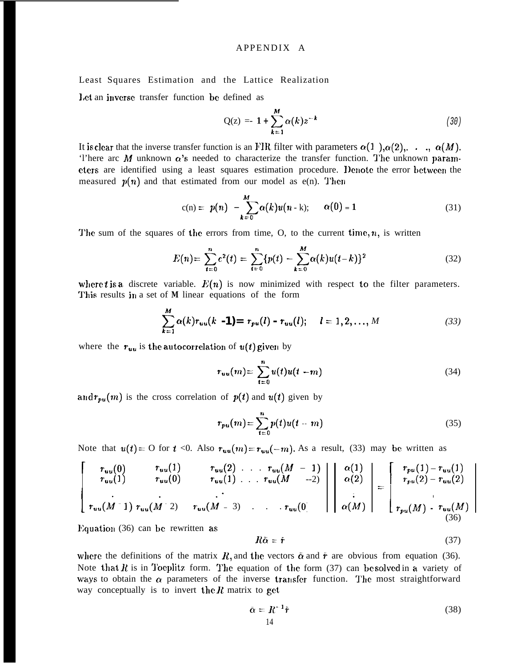### APPENDIX A

Least Squares Estimation and the Lattice Realization

1,ct an inverse transfer function bc defined as

$$
Q(z) = -1 + \sum_{k=1}^{M} \alpha(k) z^{-k}
$$
 (30)

It is clear that the inverse transfer function is an FIR filter with parameters  $\alpha(1)$ ,  $\alpha(2)$ ,...,  $\alpha(M)$ . 'l'here arc  $M$  unknown  $\alpha$ 's needed to characterize the transfer function. The unknown parameters are identified using a least squares estimation procedure. Denote the error between the measured  $p(n)$  and that estimated from our model as  $e(n)$ . Then

 $\sim$ 

$$
c(n) = p(n) - \sum_{k=0}^{M} \alpha(k)u(n-k); \qquad \alpha(0) = 1 \tag{31}
$$

The sum of the squares of the errors from time, O, to the current time,  $n$ , is written

$$
E(n) = \sum_{t=0}^{n} e^{2}(t) = \sum_{t=0}^{n} \{p(t) - \sum_{k=0}^{M} \alpha(k)u(t-k)\}^{2}
$$
 (32)

where *t* is a discrete variable.  $E(n)$  is now minimized with respect to the filter parameters. This results in a set of *M* linear equations of the form

$$
\sum_{k=1}^{M} \alpha(k) r_{uu}(k-1) = r_{pu}(l) - r_{uu}(l); \quad l = 1, 2, ..., M
$$
 (33)

where the  $r_{uu}$  is the autocorrelation of  $u(t)$  given by

$$
r_{uu}(m) = \sum_{t=0}^{n} u(t)u(t-m)
$$
\n(34)

and  $r_{pu}(m)$  is the cross correlation of  $p(t)$  and  $u(t)$  given by

$$
r_{pu}(m) = \sum_{t=0}^{n} p(t)u(t-m)
$$
 (35)

Note that  $u(t) = 0$  for  $t < 0$ . Also  $r_{uu}(m) = r_{uu}(-m)$ . As a result, (33) may be written as

$$
\begin{bmatrix}\nr_{uu}(0) & r_{uu}(1) & r_{uu}(2) & \dots & r_{uu}(M-1) \\
r_{uu}(1) & r_{uu}(0) & r_{uu}(1) & \dots & r_{uu}(M-2) \\
\vdots & \vdots & \ddots & \vdots \\
r_{uu}(M-1) & r_{uu}(M-2) & r_{uu}(M-3) & \dots & r_{uu}(0)\n\end{bmatrix}\n\begin{bmatrix}\n\alpha(1) \\
\alpha(2) \\
\vdots \\
\alpha(M)\n\end{bmatrix}\n=\n\begin{bmatrix}\nr_{pu}(1) - r_{uu}(1) \\
r_{pu}(2) - r_{uu}(2) \\
\vdots \\
r_{pu}(M) - r_{uu}(M)\n\end{bmatrix}
$$
\n(36)

Equation  $(36)$  can be rewritten as

$$
R\bar{\alpha} = \dot{r} \tag{37}
$$

where the definitions of the matrix  $R$ , and the vectors  $\tilde{\alpha}$  and  $\tilde{r}$  are obvious from equation (36). Note that R is in Toeplitz form. The equation of the form (37) can be solved in a variety of ways to obtain the  $\alpha$  parameters of the inverse transfer function. The most straightforward way conceptually is to invert the  $R$  matrix to get

$$
\bar{\alpha} = R^{-1}\tilde{r} \tag{38}
$$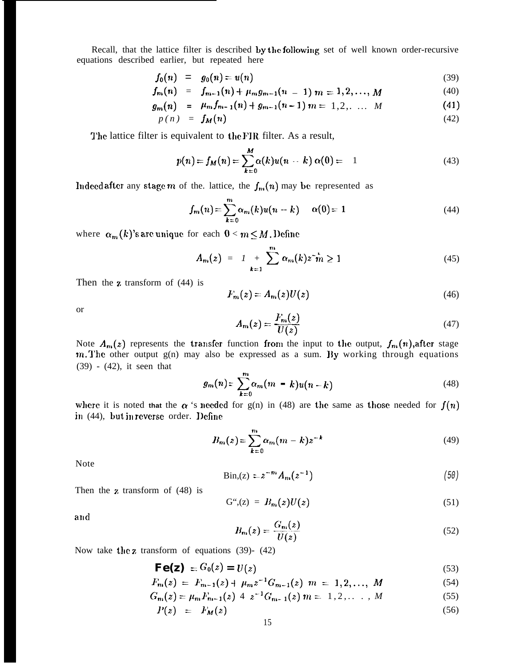Recall, that the lattice filter is described by the following set of well known order-recursive equations described earlier, but repeated here

$$
f_0(n) = g_0(n) = u(n) \tag{39}
$$

$$
f_m(n) = f_{m-1}(n) + \mu_m g_{m-1}(n-1) \; m = 1, 2, \ldots, M \tag{40}
$$

$$
g_m(n) = \mu_m f_{m-1}(n) + g_{m-1}(n-1) \, m = 1, 2, \ldots \, M \tag{41}
$$

$$
p(n) = f_M(n) \tag{42}
$$

The lattice filter is equivalent to the FIR filter. As a result,

$$
p(n) = f_M(n) = \sum_{k=0}^{M} \alpha(k) u(n-k) \alpha(0) = 1
$$
 (43)

Indeed after any stage  $m$  of the. lattice, the  $f_m(n)$  may be represented as

$$
f_m(n) = \sum_{k=0}^{m} \alpha_m(k) u(n-k) \qquad \alpha(0) = 1 \tag{44}
$$

where  $\alpha_m(k)$ 's arc unique for each  $0 < m \le M$ . Define

$$
A_m(z) = I + \sum_{k=1}^{m} \alpha_m(k) z^{-k} \ge 1
$$
 (45)

Then the  $z$  transform of  $(44)$  is

$$
F_m(z) = A_m(z)U(z) \tag{46}
$$

or

$$
A_m(z) = \frac{F_m(z)}{U(z)}\tag{47}
$$

Note  $A_m(z)$  represents the transfer function from the input to the output,  $f_m(n)$ , after stage  $m$ . The other output  $g(n)$  may also be expressed as a sum. By working through equations (39) - (42), it seen that

$$
g_m(n) = \sum_{k=0}^{m} \alpha_m(m-k)u(n-k)
$$
 (48)

where it is noted that the  $\alpha$  's needed for g(n) in (48) are the same as those needed for  $f(n)$ in (44), but in reverse order. Define

$$
B_m(z) = \sum_{k=0}^m \alpha_m (m-k) z^{-k}
$$
 (49)

Note

$$
\text{Bin}(z) = z^{-m} A_m(z^{-1}) \tag{50}
$$

Then the z transform of (48) is

$$
\mathbf{G}^{\mu}(z) = B_m(z)U(z) \tag{51}
$$

and

$$
B_m(z) = \frac{G_m(z)}{U(z)}\tag{52}
$$

Now take the z transform of equations (39)- (42)

$$
\mathbf{Fe(z)} = G_0(z) = U(z) \tag{53}
$$

$$
F_m(z) = F_{m-1}(z) + \mu_m z^{-1} G_{m-1}(z) \quad m = 1, 2, ..., \ M \tag{54}
$$

$$
G_m(z) = \mu_m F_{m-1}(z) \ 4 \ z^{-1} G_{m-1}(z) \ m = 1, 2, \dots, M \tag{55}
$$

$$
P(z) = F_M(z) \tag{56}
$$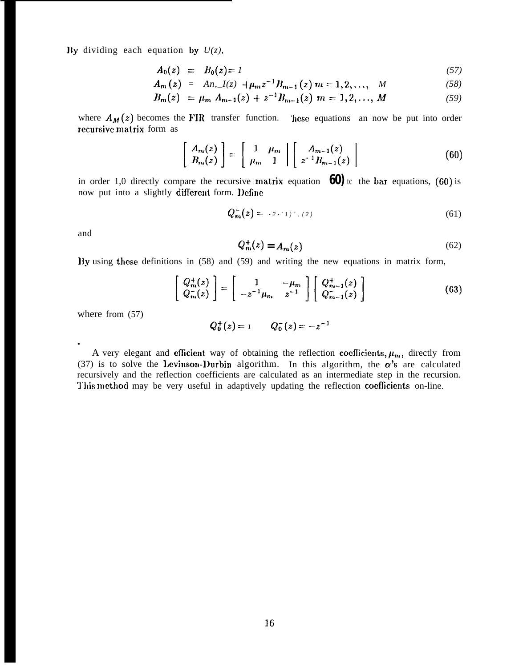By dividing each equation by  $U(z)$ ,

$$
A_0(z) = B_0(z) = I \tag{57}
$$

$$
A_m(z) = An, I(z) + \mu_m z^{-1} B_{m-1}(z) \ m = 1, 2, ..., \ M \tag{58}
$$

$$
B_m(z) = \mu_m A_{m-1}(z) + z^{-1} B_{m-1}(z) \; m = 1, 2, ..., M \tag{59}
$$

where  $A_M(z)$  becomes the FIR transfer function. hese equations an now be put into order recursive matrix form as

$$
\left[\begin{array}{c} A_m(z) \\ B_m(z) \end{array}\right] = \left[\begin{array}{cc} 1 & \mu_m \\ \mu_m & 1 \end{array}\right] \left[\begin{array}{c} A_{m-1}(z) \\ z^{-1}B_{m-1}(z) \end{array}\right] \tag{60}
$$

in order 1,0 directly compare the recursive matrix equation  $\overline{60}$  to the bar equations, (60) is now put into a slightly different form. Define

$$
Q_{m}^{-}(z) = -2 \cdot 1)^{n}, (2)
$$
 (61)

and

.

$$
Q_m^+(z) = A_m(z) \tag{62}
$$

lly using these definitions in (58) and (59) and writing the new equations in matrix form,

$$
\begin{bmatrix}\nQ_m^+(z) \\
Q_m^-(z)\n\end{bmatrix} = \begin{bmatrix}\n1 & -\mu_m \\
-z^{-1}\mu_m & z^{-1}\n\end{bmatrix} \begin{bmatrix}\nQ_{m-1}^+(z) \\
Q_{m-1}^-(z)\n\end{bmatrix}
$$
\n(63)

where from (57)

$$
Q_0^+(z) = 1 \qquad Q_0^-(z) = -z^{-1}
$$

A very elegant and efficient way of obtaining the reflection coefficients,  $\mu_m$ , directly from (37) is to solve the Levinson-Durbin algorithm. In this algorithm, the  $\alpha$ 's are calculated recursively and the reflection coefficients are calculated as an intermediate step in the recursion. This method may be very useful in adaptively updating the reflection coefficients on-line.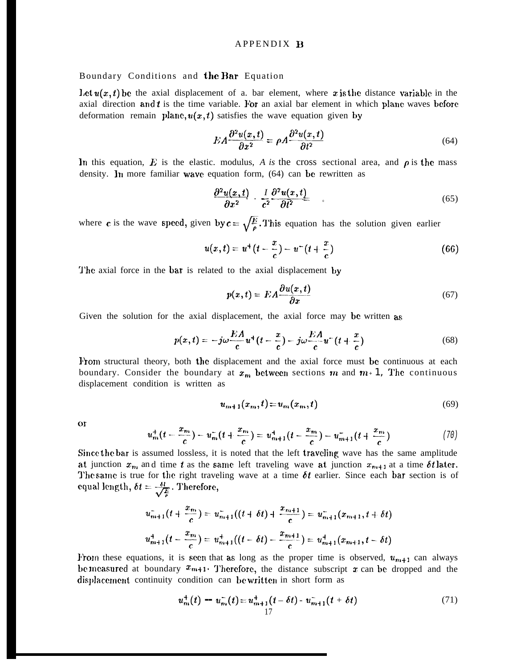### APPENDIX B

#### Boundary Conditions and the Bar Equation

Let  $u(x, t)$  be the axial displacement of a. bar element, where x is the distance variable in the axial direction and  $t$  is the time variable. For an axial bar element in which plane waves before deformation remain plane,  $u(x, t)$  satisfies the wave equation given by

$$
EA\frac{\partial^2 u(x,t)}{\partial x^2} = \rho A \frac{\partial^2 u(x,t)}{\partial t^2}
$$
\n(64)

In this equation,  $\vec{E}$  is the elastic. modulus, *A* is the cross sectional area, and  $\rho$  is the mass density. In more familiar wave equation form,  $(64)$  can be rewritten as

$$
\frac{\partial^2 u(x,t)}{\partial x^2} \cdot \frac{I}{c^2} \frac{\partial^2 u(x,t)}{\partial t^2} \tag{65}
$$

where c is the wave speed, given by  $c = \sqrt{\frac{E}{\rho}}$ . This equation has the solution given earlier

$$
u(x,t) = u^+(t - \frac{x}{c}) - u^-(t + \frac{x}{c})
$$
\n(66)

The axial force in the bar is related to the axial displacement by

$$
p(x,t) = EA \frac{\partial u(x,t)}{\partial x} \tag{67}
$$

Given the solution for the axial displacement, the axial force may be written as

$$
p(x,t) = -j\omega \frac{EA}{c} u^+(t - \frac{x}{c}) - j\omega \frac{EA}{c} u^-(t + \frac{x}{c})
$$
\n<sup>(68)</sup>

From structural theory, both the displacement and the axial force must be continuous at each boundary. Consider the boundary at  $x_m$  between sections  $m$  and  $m+1$ , The continuous displacement condition is written as

$$
u_{m+1}(x_m, t) = u_m(x_m, t)
$$
\n(69)

or

$$
u_m^+(t-\frac{x_m}{c})-u_m^-(t+\frac{x_m}{c})=u_{m+1}^+(t-\frac{x_m}{c})-u_{m+1}^-(t+\frac{x_m}{c})
$$
\n(70)

Since the bar is assumed lossless, it is noted that the left traveling wave has the same amplitude at junction  $x_m$  and time t as the same left traveling wave at junction  $x_{m+1}$  at a time  $\delta t$  later. The same is true for the right traveling wave at a time  $\delta t$  earlier. Since each bar section is of equal length,  $\delta t = \frac{\delta l}{\sqrt{\frac{E}{\epsilon}}}$ . Therefore,

$$
u_{m+1}^{-}(t+\frac{x_m}{c})=u_{m+1}^{-}((t+\delta t)+\frac{x_{m+1}}{c})=u_{m+1}^{-}(x_{m+1},t+\delta t)
$$
  

$$
u_{m+1}^{+}(t-\frac{x_m}{c})=u_{m+1}^{+}((t-\delta t)-\frac{x_{m+1}}{c})=u_{m+1}^{+}(x_{m+1},t-\delta t)
$$

From these equations, it is seen that as long as the proper time is observed,  $u_{m+1}$  can always be measured at boundary  $x_{m+1}$ . Therefore, the distance subscript x can be dropped and the displacement continuity condition can be written in short form as

$$
u_m^+(t) - u_m^-(t) = u_{m+1}^+(t - \delta t) - u_{m+1}^-(t + \delta t)
$$
\n(71)